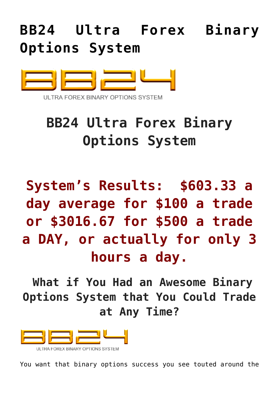## **[BB24 Ultra Forex Binary](https://binaryoptionsauthority.com/binary-options-authority/binary-option-systems/bb24-ultra-forex-binare-optionen-system/) [Options System](https://binaryoptionsauthority.com/binary-options-authority/binary-option-systems/bb24-ultra-forex-binare-optionen-system/)**



ULTRA FOREX BINARY OPTIONS SYSTEM

# **BB24 Ultra Forex Binary Options System**

# **System's Results: \$603.33 a day average for \$100 a trade or \$3016.67 for \$500 a trade a DAY, or actually for only 3 hours a day.**

 **What if You Had an Awesome Binary Options System that You Could Trade at Any Time?**



You want that binary options success you see touted around the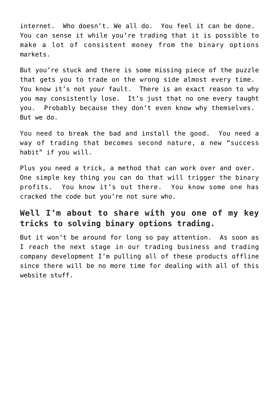internet. Who doesn't. We all do. You feel it can be done. You can sense it while you're trading that it is possible to make a lot of consistent money from the binary options markets.

But you're stuck and there is some missing piece of the puzzle that gets you to trade on the wrong side almost every time. You know it's not your fault. There is an exact reason to why you may consistently lose. It's just that no one every taught you. Probably because they don't even know why themselves. But we do.

You need to break the bad and install the good. You need a way of trading that becomes second nature, a new "success habit" if you will.

Plus you need a trick, a method that can work over and over. One simple key thing you can do that will trigger the binary profits. You know it's out there. You know some one has cracked the code but you're not sure who.

#### **Well I'm about to share with you one of my key tricks to solving binary options trading.**

But it won't be around for long so pay attention. As soon as I reach the next stage in our trading business and trading company development I'm pulling all of these products offline since there will be no more time for dealing with all of this website stuff.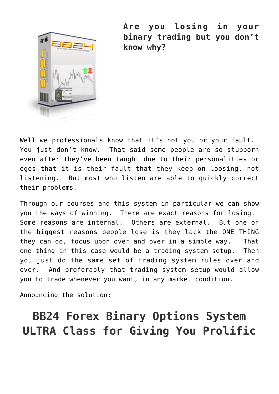

**Are you losing in your binary trading but you don't know why?**

Well we professionals know that it's not you or your fault. You just don't know. That said some people are so stubborn even after they've been taught due to their personalities or egos that it is their fault that they keep on loosing, not listening. But most who listen are able to quickly correct their problems.

Through our courses and this system in particular we can show you the ways of winning. There are exact reasons for losing. Some reasons are internal. Others are external. But one of the biggest reasons people lose is they lack the ONE THING they can do, focus upon over and over in a simple way. That one thing in this case would be a trading system setup. Then you just do the same set of trading system rules over and over. And preferably that trading system setup would allow you to trade whenever you want, in any market condition.

Announcing the solution:

## **BB24 Forex Binary Options System ULTRA Class for Giving You Prolific**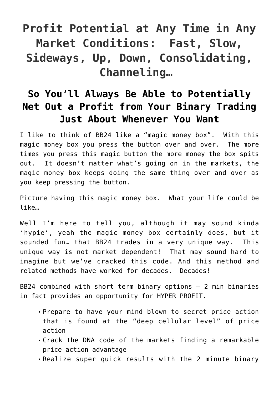### **Profit Potential at Any Time in Any Market Conditions: Fast, Slow, Sideways, Up, Down, Consolidating, Channeling…**

### **So You'll Always Be Able to Potentially Net Out a Profit from Your Binary Trading Just About Whenever You Want**

I like to think of BB24 like a "magic money box". With this magic money box you press the button over and over. The more times you press this magic button the more money the box spits out. It doesn't matter what's going on in the markets, the magic money box keeps doing the same thing over and over as you keep pressing the button.

Picture having this magic money box. What your life could be like…

Well I'm here to tell you, although it may sound kinda 'hypie', yeah the magic money box certainly does, but it sounded fun… that BB24 trades in a very unique way. This unique way is not market dependent! That may sound hard to imagine but we've cracked this code. And this method and related methods have worked for decades. Decades!

BB24 combined with short term binary options – 2 min binaries in fact provides an opportunity for HYPER PROFIT.

- Prepare to have your mind blown to secret price action that is found at the "deep cellular level" of price action
- Crack the DNA code of the markets finding a remarkable price action advantage
- Realize super quick results with the 2 minute binary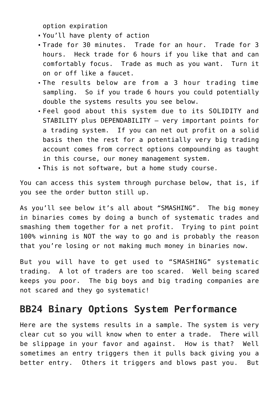option expiration

- You'll have plenty of action
- Trade for 30 minutes. Trade for an hour. Trade for 3 hours. Heck trade for 6 hours if you like that and can comfortably focus. Trade as much as you want. Turn it on or off like a faucet.
- The results below are from a 3 hour trading time sampling. So if you trade 6 hours you could potentially double the systems results you see below.
- Feel good about this system due to its SOLIDITY and STABILITY plus DEPENDABILITY – very important points for a trading system. If you can net out profit on a solid basis then the rest for a potentially very big trading account comes from correct options compounding as taught in this course, our money management system.
- This is not software, but a home study course.

You can access this system through purchase below, that is, if you see the order button still up.

As you'll see below it's all about "SMASHING". The big money in binaries comes by doing a bunch of systematic trades and smashing them together for a net profit. Trying to pint point 100% winning is NOT the way to go and is probably the reason that you're losing or not making much money in binaries now.

But you will have to get used to "SMASHING" systematic trading. A lot of traders are too scared. Well being scared keeps you poor. The big boys and big trading companies are not scared and they go systematic!

#### **BB24 Binary Options System Performance**

Here are the systems results in a sample. The system is very clear cut so you will know when to enter a trade. There will be slippage in your favor and against. How is that? Well sometimes an entry triggers then it pulls back giving you a better entry. Others it triggers and blows past you. But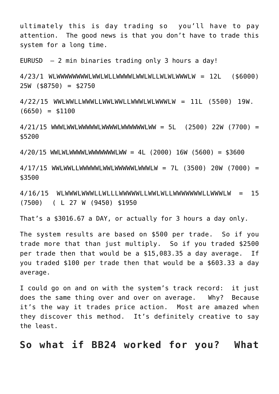ultimately this is day trading so you'll have to pay attention. The good news is that you don't have to trade this system for a long time.

EURUSD – 2 min binaries trading only 3 hours a day!

4/23/1 WLWWWWWWWWLWWLWLLWWWWLWWLWLLWLWLWWWLW = 12L (\$6000) 25W (\$8750) = \$2750

4/22/15 WWLWWLLWWWLLWWLWWLLWWWLWLWWWLW = 11L (5500) 19W.  $(6650) = $1100$ 

4/21/15 WWWLWWLWWWWWLWWWWLWWWWWWLWW = 5L (2500) 22W (7700) = \$5200

4/20/15 WWLWLWWWWLWWWWWWWLWW = 4L (2000) 16W (5600) = \$3600

4/17/15 WWLWWLLWWWWWLWWLWWWWWLWWWLW = 7L (3500) 20W (7000) = \$3500

4/16/15 WLWWWLWWWLLWLLLWWWWWLLWWLWLLWWWWWWWLLWWWLW = 15 (7500) ( L 27 W (9450) \$1950

That's a \$3016.67 a DAY, or actually for 3 hours a day only.

The system results are based on \$500 per trade. So if you trade more that than just multiply. So if you traded \$2500 per trade then that would be a \$15,083.35 a day average. If you traded \$100 per trade then that would be a \$603.33 a day average.

I could go on and on with the system's track record: it just does the same thing over and over on average. Why? Because it's the way it trades price action. Most are amazed when they discover this method. It's definitely creative to say the least.

**So what if BB24 worked for you? What**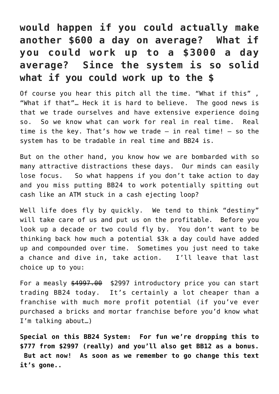### **would happen if you could actually make another \$600 a day on average? What if you could work up to a \$3000 a day average? Since the system is so solid what if you could work up to the \$**

Of course you hear this pitch all the time. "What if this" , "What if that"… Heck it is hard to believe. The good news is that we trade ourselves and have extensive experience doing so. So we know what can work for real in real time. Real time is the key. That's how we trade  $-$  in real time!  $-$  so the system has to be tradable in real time and BB24 is.

But on the other hand, you know how we are bombarded with so many attractive distractions these days. Our minds can easily lose focus. So what happens if you don't take action to day and you miss putting BB24 to work potentially spitting out cash like an ATM stuck in a cash ejecting loop?

Well life does fly by quickly. We tend to think "destiny" will take care of us and put us on the profitable. Before you look up a decade or two could fly by. You don't want to be thinking back how much a potential \$3k a day could have added up and compounded over time. Sometimes you just need to take a chance and dive in, take action. I'll leave that last choice up to you:

For a measly  $$4997.00$  \$2997 introductory price you can start trading BB24 today. It's certainly a lot cheaper than a franchise with much more profit potential (if you've ever purchased a bricks and mortar franchise before you'd know what I'm talking about…)

**Special on this BB24 System: For fun we're dropping this to \$777 from \$2997 (really) and you'll also get BB12 as a bonus. But act now! As soon as we remember to go change this text it's gone..**